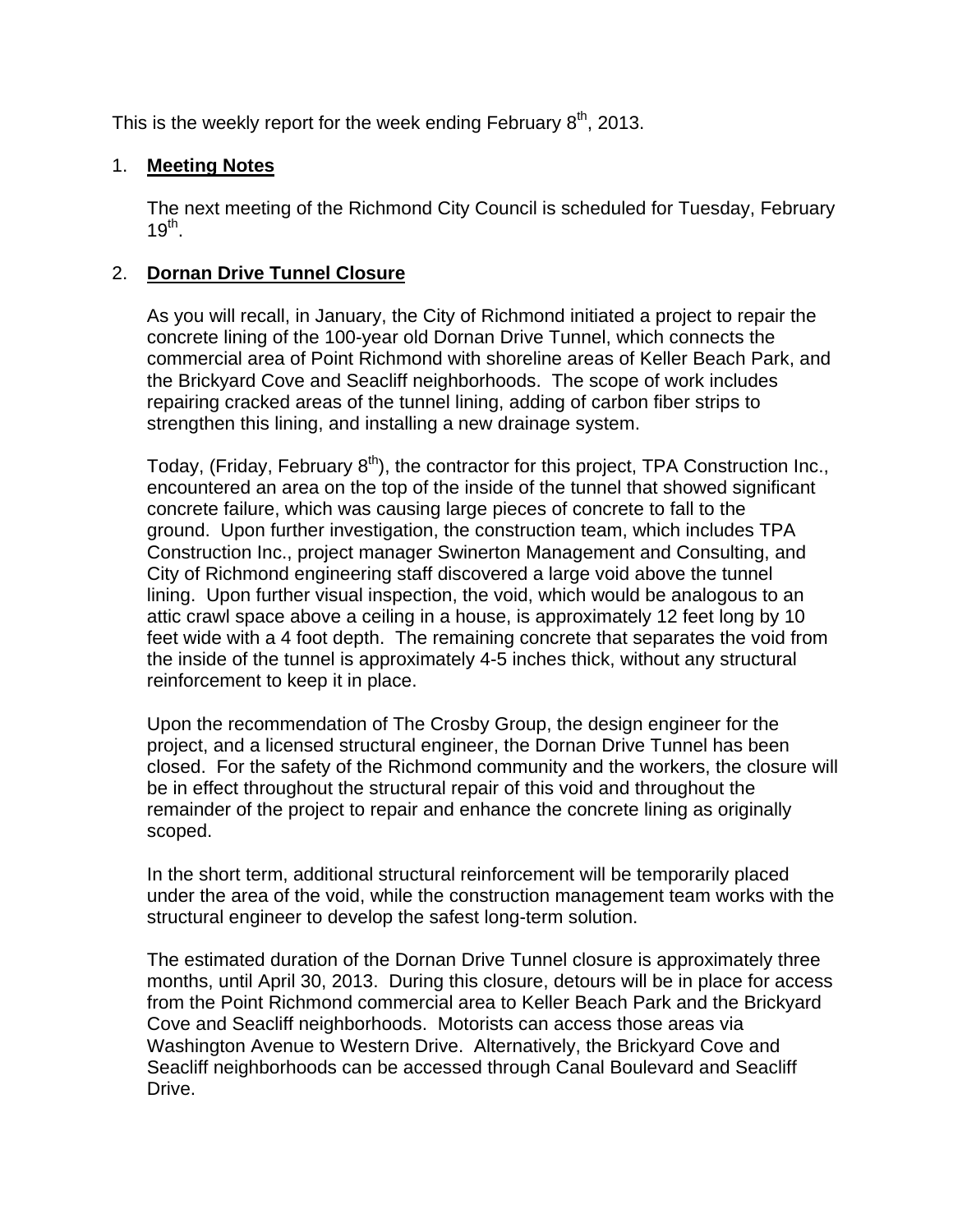This is the weekly report for the week ending February  $8<sup>th</sup>$ , 2013.

## 1. **Meeting Notes**

The next meeting of the Richmond City Council is scheduled for Tuesday, February  $19^{th}$ .

## 2. **Dornan Drive Tunnel Closure**

As you will recall, in January, the City of Richmond initiated a project to repair the concrete lining of the 100-year old Dornan Drive Tunnel, which connects the commercial area of Point Richmond with shoreline areas of Keller Beach Park, and the Brickyard Cove and Seacliff neighborhoods. The scope of work includes repairing cracked areas of the tunnel lining, adding of carbon fiber strips to strengthen this lining, and installing a new drainage system.

Today, (Friday, February  $8<sup>th</sup>$ ), the contractor for this project, TPA Construction Inc., encountered an area on the top of the inside of the tunnel that showed significant concrete failure, which was causing large pieces of concrete to fall to the ground. Upon further investigation, the construction team, which includes TPA Construction Inc., project manager Swinerton Management and Consulting, and City of Richmond engineering staff discovered a large void above the tunnel lining. Upon further visual inspection, the void, which would be analogous to an attic crawl space above a ceiling in a house, is approximately 12 feet long by 10 feet wide with a 4 foot depth. The remaining concrete that separates the void from the inside of the tunnel is approximately 4-5 inches thick, without any structural reinforcement to keep it in place.

Upon the recommendation of The Crosby Group, the design engineer for the project, and a licensed structural engineer, the Dornan Drive Tunnel has been closed. For the safety of the Richmond community and the workers, the closure will be in effect throughout the structural repair of this void and throughout the remainder of the project to repair and enhance the concrete lining as originally scoped.

In the short term, additional structural reinforcement will be temporarily placed under the area of the void, while the construction management team works with the structural engineer to develop the safest long-term solution.

The estimated duration of the Dornan Drive Tunnel closure is approximately three months, until April 30, 2013. During this closure, detours will be in place for access from the Point Richmond commercial area to Keller Beach Park and the Brickyard Cove and Seacliff neighborhoods. Motorists can access those areas via Washington Avenue to Western Drive. Alternatively, the Brickyard Cove and Seacliff neighborhoods can be accessed through Canal Boulevard and Seacliff Drive.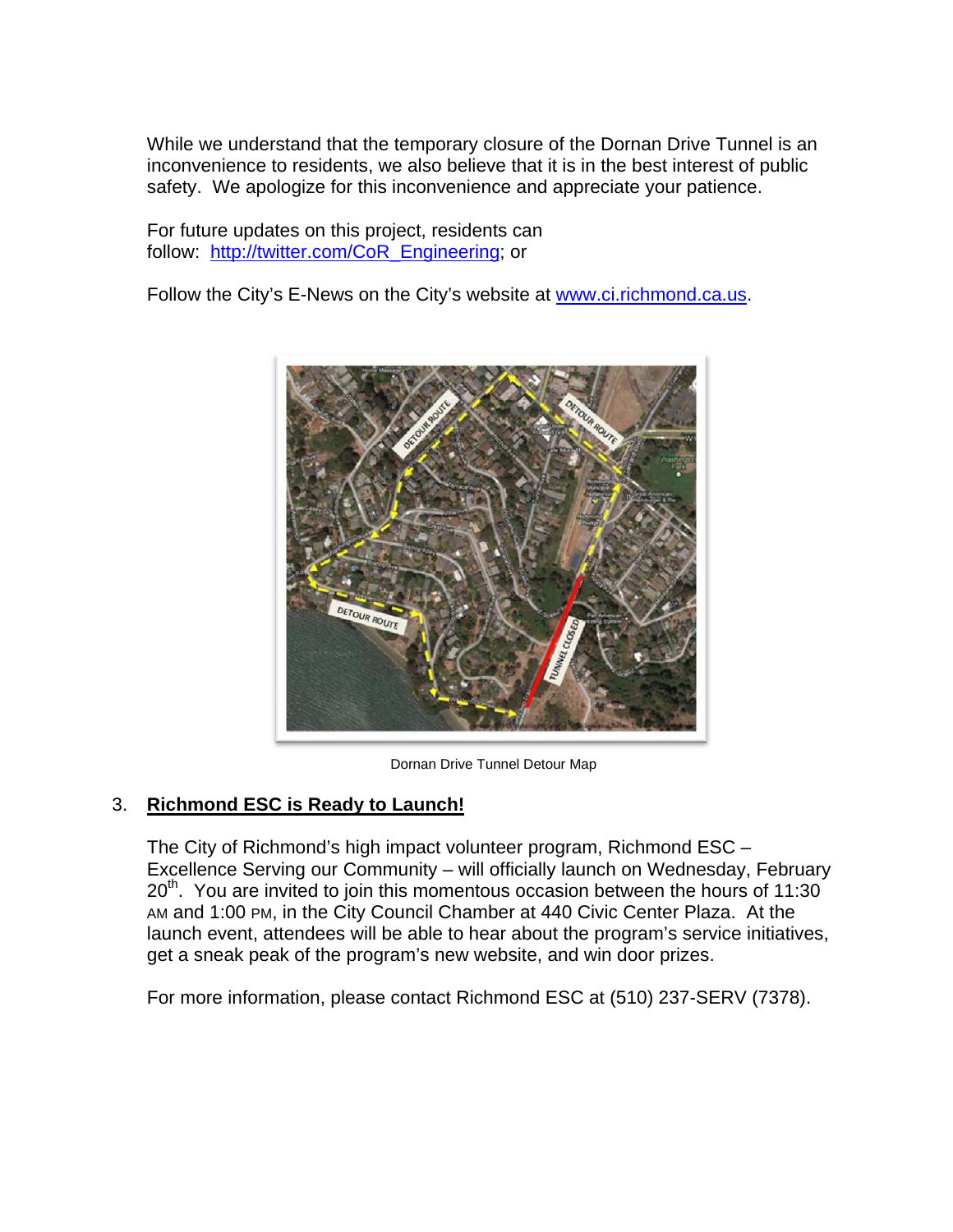While we understand that the temporary closure of the Dornan Drive Tunnel is an inconvenience to residents, we also believe that it is in the best interest of public safety. We apologize for this inconvenience and appreciate your patience.

For future updates on this project, residents can follow: http://twitter.com/CoR\_Engineering; or

Follow the City's E-News on the City's website at www.ci.richmond.ca.us.



Dornan Drive Tunnel Detour Map

## 3. **Richmond ESC is Ready to Launch!**

The City of Richmond's high impact volunteer program, Richmond ESC – Excellence Serving our Community – will officially launch on Wednesday, February  $20<sup>th</sup>$ . You are invited to join this momentous occasion between the hours of 11:30 AM and 1:00 PM, in the City Council Chamber at 440 Civic Center Plaza. At the launch event, attendees will be able to hear about the program's service initiatives, get a sneak peak of the program's new website, and win door prizes.

For more information, please contact Richmond ESC at (510) 237-SERV (7378).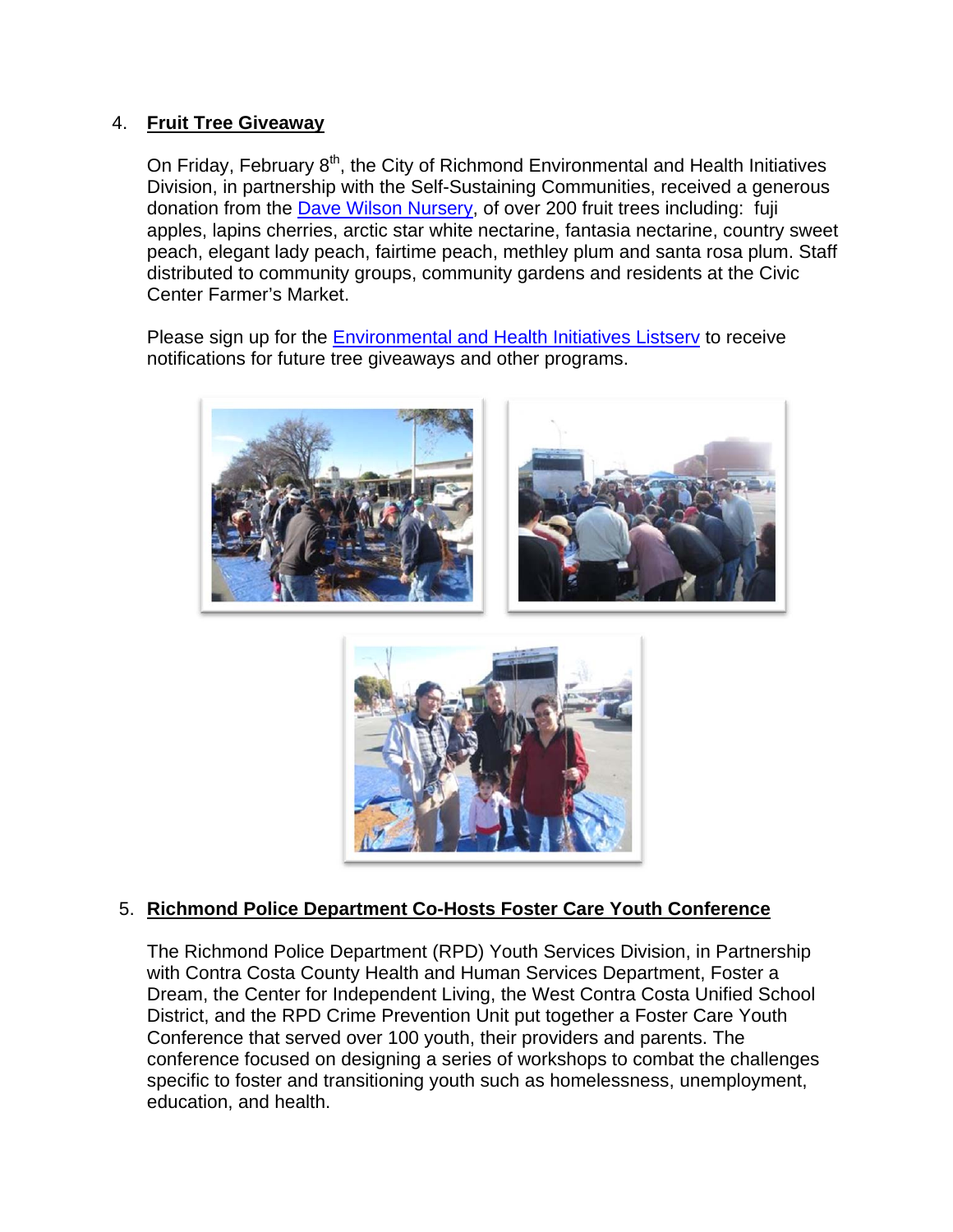### 4. **Fruit Tree Giveaway**

On Friday, February  $8<sup>th</sup>$ , the City of Richmond Environmental and Health Initiatives Division, in partnership with the Self-Sustaining Communities, received a generous donation from the Dave Wilson Nursery, of over 200 fruit trees including: fuji apples, lapins cherries, arctic star white nectarine, fantasia nectarine, country sweet peach, elegant lady peach, fairtime peach, methley plum and santa rosa plum. Staff distributed to community groups, community gardens and residents at the Civic Center Farmer's Market.

Please sign up for the Environmental and Health Initiatives Listserv to receive notifications for future tree giveaways and other programs.





### 5. **Richmond Police Department Co-Hosts Foster Care Youth Conference**

The Richmond Police Department (RPD) Youth Services Division, in Partnership with Contra Costa County Health and Human Services Department, Foster a Dream, the Center for Independent Living, the West Contra Costa Unified School District, and the RPD Crime Prevention Unit put together a Foster Care Youth Conference that served over 100 youth, their providers and parents. The conference focused on designing a series of workshops to combat the challenges specific to foster and transitioning youth such as homelessness, unemployment, education, and health.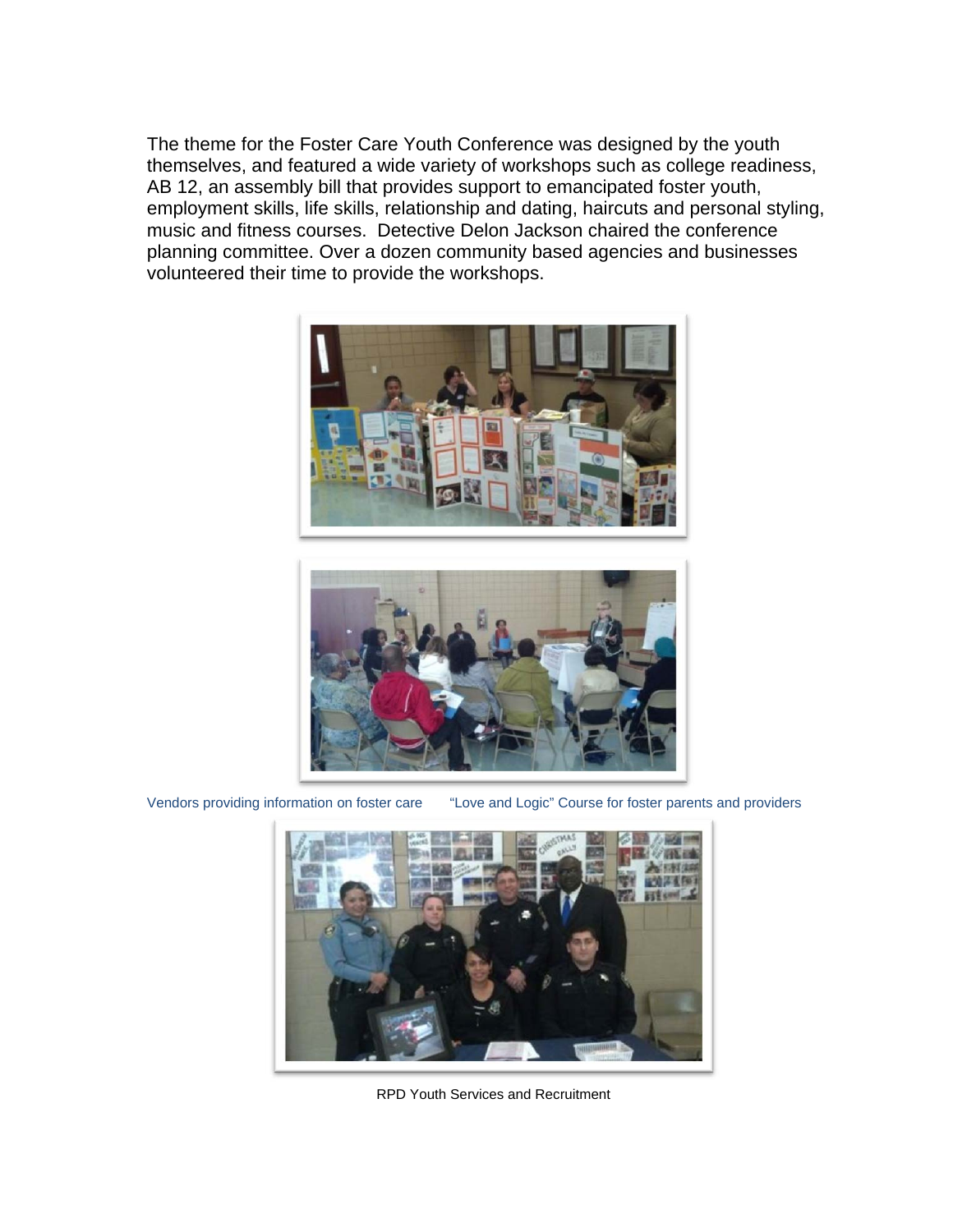The theme for the Foster Care Youth Conference was designed by the youth themselves, and featured a wide variety of workshops such as college readiness, AB 12, an assembly bill that provides support to emancipated foster youth, employment skills, life skills, relationship and dating, haircuts and personal styling, music and fitness courses. Detective Delon Jackson chaired the conference planning committee. Over a dozen community based agencies and businesses volunteered their time to provide the workshops.





Vendors providing information on foster care "Love and Logic" Course for foster parents and providers



RPD Youth Services and Recruitment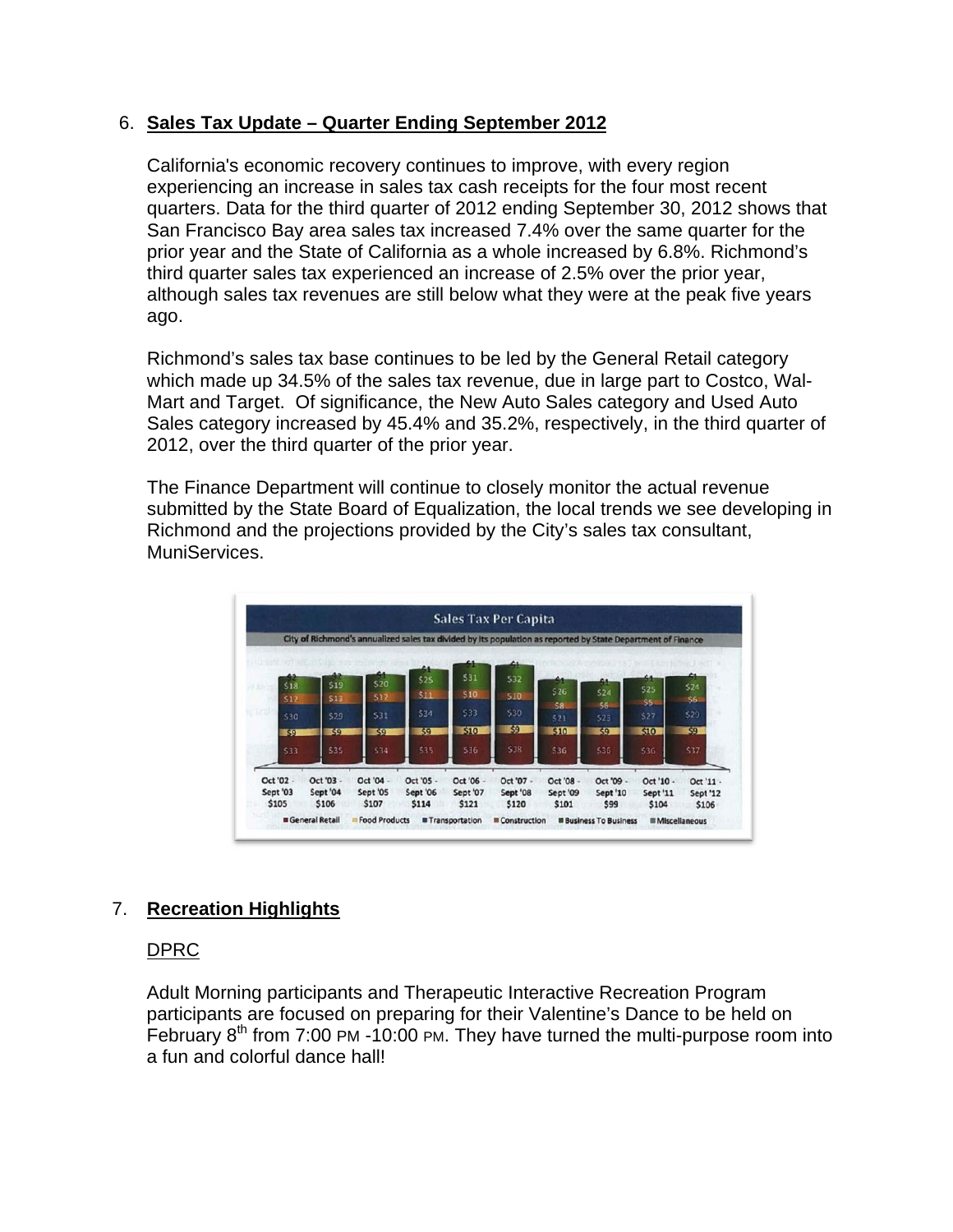### 6. **Sales Tax Update – Quarter Ending September 2012**

California's economic recovery continues to improve, with every region experiencing an increase in sales tax cash receipts for the four most recent quarters. Data for the third quarter of 2012 ending September 30, 2012 shows that San Francisco Bay area sales tax increased 7.4% over the same quarter for the prior year and the State of California as a whole increased by 6.8%. Richmond's third quarter sales tax experienced an increase of 2.5% over the prior year, although sales tax revenues are still below what they were at the peak five years ago.

Richmond's sales tax base continues to be led by the General Retail category which made up 34.5% of the sales tax revenue, due in large part to Costco, Wal-Mart and Target. Of significance, the New Auto Sales category and Used Auto Sales category increased by 45.4% and 35.2%, respectively, in the third quarter of 2012, over the third quarter of the prior year.

The Finance Department will continue to closely monitor the actual revenue submitted by the State Board of Equalization, the local trends we see developing in Richmond and the projections provided by the City's sales tax consultant, MuniServices.



## 7. **Recreation Highlights**

#### DPRC

Adult Morning participants and Therapeutic Interactive Recreation Program participants are focused on preparing for their Valentine's Dance to be held on February  $8<sup>th</sup>$  from 7:00 PM -10:00 PM. They have turned the multi-purpose room into a fun and colorful dance hall!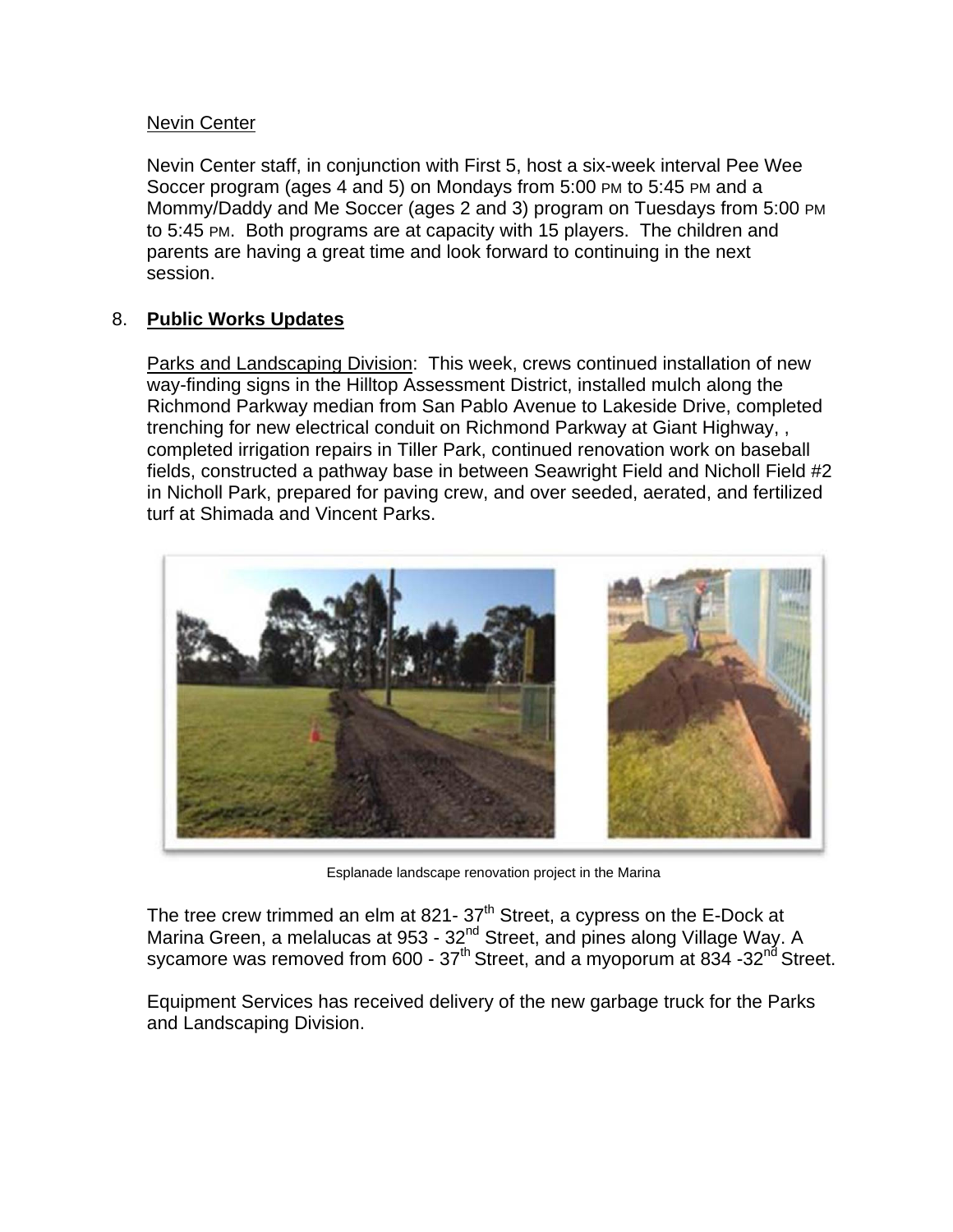#### Nevin Center

Nevin Center staff, in conjunction with First 5, host a six-week interval Pee Wee Soccer program (ages 4 and 5) on Mondays from 5:00 PM to 5:45 PM and a Mommy/Daddy and Me Soccer (ages 2 and 3) program on Tuesdays from 5:00 PM to 5:45 PM. Both programs are at capacity with 15 players. The children and parents are having a great time and look forward to continuing in the next session.

### 8. **Public Works Updates**

Parks and Landscaping Division: This week, crews continued installation of new way-finding signs in the Hilltop Assessment District, installed mulch along the Richmond Parkway median from San Pablo Avenue to Lakeside Drive, completed trenching for new electrical conduit on Richmond Parkway at Giant Highway, , completed irrigation repairs in Tiller Park, continued renovation work on baseball fields, constructed a pathway base in between Seawright Field and Nicholl Field #2 in Nicholl Park, prepared for paving crew, and over seeded, aerated, and fertilized turf at Shimada and Vincent Parks.



Esplanade landscape renovation project in the Marina

The tree crew trimmed an elm at 821-  $37<sup>th</sup>$  Street, a cypress on the E-Dock at Marina Green, a melalucas at 953 - 32<sup>nd</sup> Street, and pines along Village Way. A sycamore was removed from 600 -  $37^{\text{th}}$  Street, and a myoporum at 834 -32<sup>nd</sup> Street.

Equipment Services has received delivery of the new garbage truck for the Parks and Landscaping Division.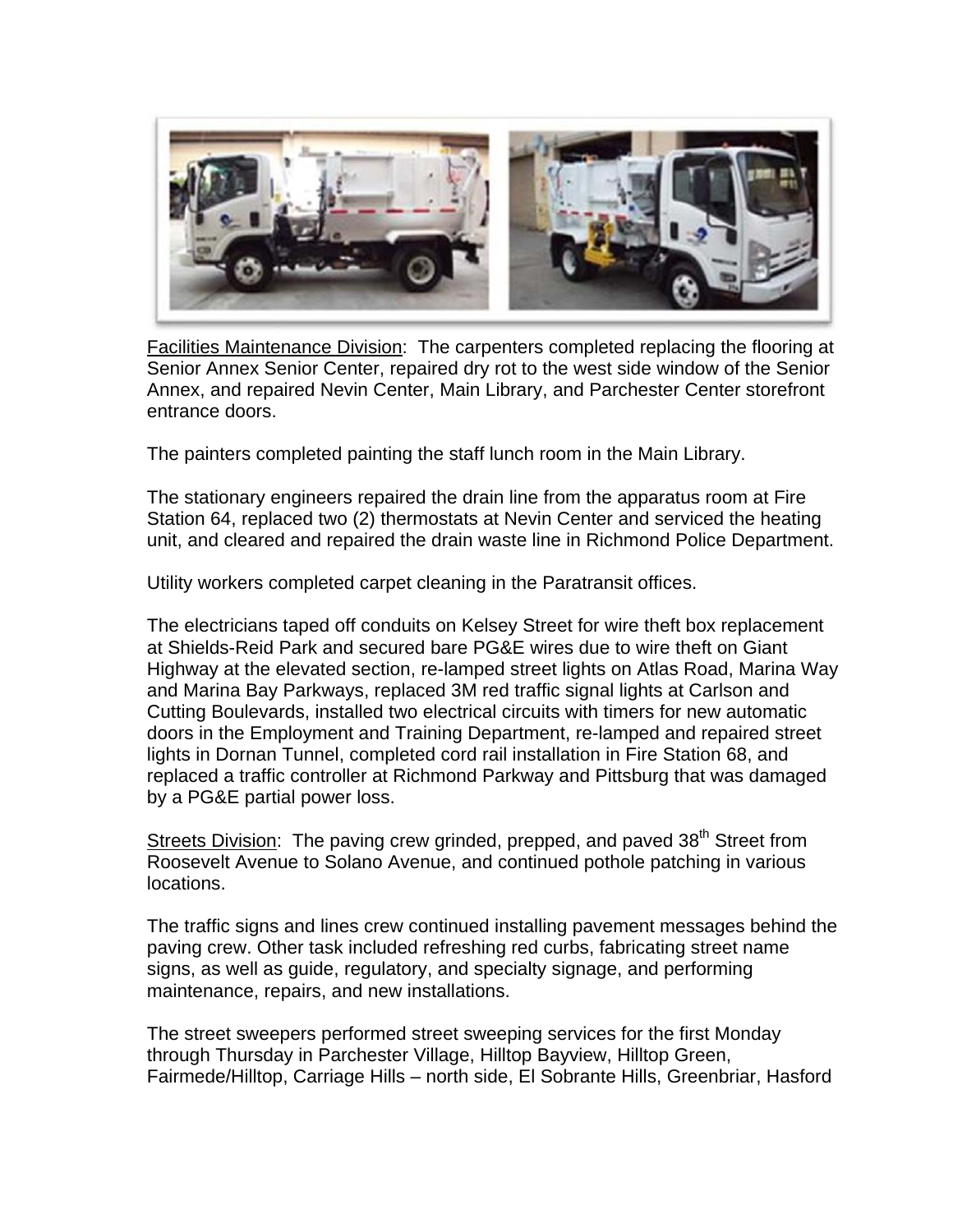

Facilities Maintenance Division: The carpenters completed replacing the flooring at Senior Annex Senior Center, repaired dry rot to the west side window of the Senior Annex, and repaired Nevin Center, Main Library, and Parchester Center storefront entrance doors.

The painters completed painting the staff lunch room in the Main Library.

The stationary engineers repaired the drain line from the apparatus room at Fire Station 64, replaced two (2) thermostats at Nevin Center and serviced the heating unit, and cleared and repaired the drain waste line in Richmond Police Department.

Utility workers completed carpet cleaning in the Paratransit offices.

The electricians taped off conduits on Kelsey Street for wire theft box replacement at Shields-Reid Park and secured bare PG&E wires due to wire theft on Giant Highway at the elevated section, re-lamped street lights on Atlas Road, Marina Way and Marina Bay Parkways, replaced 3M red traffic signal lights at Carlson and Cutting Boulevards, installed two electrical circuits with timers for new automatic doors in the Employment and Training Department, re-lamped and repaired street lights in Dornan Tunnel, completed cord rail installation in Fire Station 68, and replaced a traffic controller at Richmond Parkway and Pittsburg that was damaged by a PG&E partial power loss.

Streets Division: The paving crew grinded, prepped, and paved 38<sup>th</sup> Street from Roosevelt Avenue to Solano Avenue, and continued pothole patching in various locations.

The traffic signs and lines crew continued installing pavement messages behind the paving crew. Other task included refreshing red curbs, fabricating street name signs, as well as guide, regulatory, and specialty signage, and performing maintenance, repairs, and new installations.

The street sweepers performed street sweeping services for the first Monday through Thursday in Parchester Village, Hilltop Bayview, Hilltop Green, Fairmede/Hilltop, Carriage Hills – north side, El Sobrante Hills, Greenbriar, Hasford